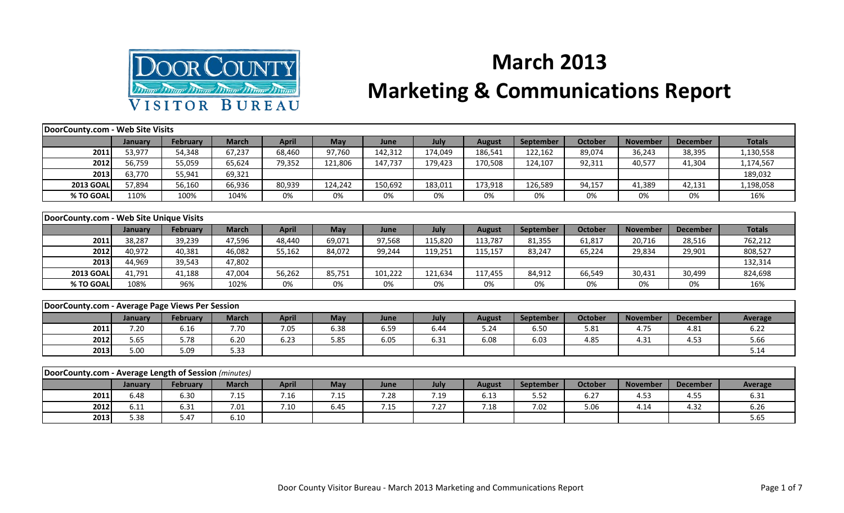

## **March 2013**

## **Marketing & Communications Report**

| DoorCounty.com - Web Site Visits                     |         |                 |              |              |            |         |         |               |                  |                |                 |                 |                |
|------------------------------------------------------|---------|-----------------|--------------|--------------|------------|---------|---------|---------------|------------------|----------------|-----------------|-----------------|----------------|
|                                                      | January | <b>February</b> | <b>March</b> | <b>April</b> | <b>May</b> | June    | July    | <b>August</b> | <b>September</b> | <b>October</b> | <b>November</b> | <b>December</b> | <b>Totals</b>  |
| 2011                                                 | 53,977  | 54,348          | 67,237       | 68,460       | 97,760     | 142,312 | 174,049 | 186,541       | 122,162          | 89,074         | 36,243          | 38,395          | 1,130,558      |
| 2012                                                 | 56,759  | 55,059          | 65,624       | 79,352       | 121,806    | 147,737 | 179,423 | 170,508       | 124,107          | 92,311         | 40,577          | 41,304          | 1,174,567      |
| 2013                                                 | 63,770  | 55,941          | 69,321       |              |            |         |         |               |                  |                |                 |                 | 189,032        |
| <b>2013 GOAL</b>                                     | 57,894  | 56,160          | 66,936       | 80,939       | 124,242    | 150,692 | 183,011 | 173,918       | 126,589          | 94,157         | 41,389          | 42,131          | 1,198,058      |
| % TO GOAL                                            | 110%    | 100%            | 104%         | 0%           | 0%         | 0%      | 0%      | 0%            | 0%               | 0%             | 0%              | 0%              | 16%            |
|                                                      |         |                 |              |              |            |         |         |               |                  |                |                 |                 |                |
| DoorCounty.com - Web Site Unique Visits              |         |                 |              |              |            |         |         |               |                  |                |                 |                 |                |
|                                                      | January | February        | <b>March</b> | <b>April</b> | <b>May</b> | June    | July    | <b>August</b> | September        | <b>October</b> | <b>November</b> | <b>December</b> | <b>Totals</b>  |
| 2011                                                 | 38,287  | 39,239          | 47,596       | 48,440       | 69,071     | 97,568  | 115,820 | 113,787       | 81,355           | 61,817         | 20,716          | 28,516          | 762,212        |
| 2012                                                 | 40,972  | 40,381          | 46,082       | 55,162       | 84,072     | 99,244  | 119,251 | 115,157       | 83,247           | 65,224         | 29,834          | 29,901          | 808,527        |
| 2013                                                 | 44,969  | 39,543          | 47,802       |              |            |         |         |               |                  |                |                 |                 | 132,314        |
| <b>2013 GOAL</b>                                     | 41,791  | 41,188          | 47,004       | 56,262       | 85,751     | 101,222 | 121,634 | 117,455       | 84,912           | 66,549         | 30,431          | 30,499          | 824,698        |
| % TO GOAL                                            | 108%    | 96%             | 102%         | 0%           | 0%         | 0%      | 0%      | 0%            | 0%               | 0%             | 0%              | 0%              | 16%            |
|                                                      |         |                 |              |              |            |         |         |               |                  |                |                 |                 |                |
| DoorCounty.com - Average Page Views Per Session      |         |                 |              |              |            |         |         |               |                  |                |                 |                 |                |
|                                                      | January | <b>February</b> | <b>March</b> | <b>April</b> | <b>May</b> | June    | July    | <b>August</b> | September        | <b>October</b> | <b>November</b> | <b>December</b> | <b>Average</b> |
| 2011                                                 | 7.20    | 6.16            | 7.70         | 7.05         | 6.38       | 6.59    | 6.44    | 5.24          | 6.50             | 5.81           | 4.75            | 4.81            | 6.22           |
| 2012                                                 | 5.65    | 5.78            | 6.20         | 6.23         | 5.85       | 6.05    | 6.31    | 6.08          | 6.03             | 4.85           | 4.31            | 4.53            | 5.66           |
| 2013                                                 | 5.00    | 5.09            | 5.33         |              |            |         |         |               |                  |                |                 |                 | 5.14           |
|                                                      |         |                 |              |              |            |         |         |               |                  |                |                 |                 |                |
| DoorCounty.com - Average Length of Session (minutes) |         |                 |              |              |            |         |         |               |                  |                |                 |                 |                |
|                                                      | January | February        | <b>March</b> | <b>April</b> | <b>May</b> | June    | July    | <b>August</b> | September        | October        | <b>November</b> | <b>December</b> | <b>Average</b> |
| 2011                                                 | 6.48    | 6.30            | 7.15         | 7.16         | 7.15       | 7.28    | 7.19    | 6.13          | 5.52             | 6.27           | 4.53            | 4.55            | 6.31           |

**2012** 6.11 6.31 7.01 7.10 6.45 7.15 7.27 7.18 7.02 5.06 4.14 4.32 6.26 **2013** 5.38 5.38 5.47 6.10 J J J J J J J J J J J J J J S.65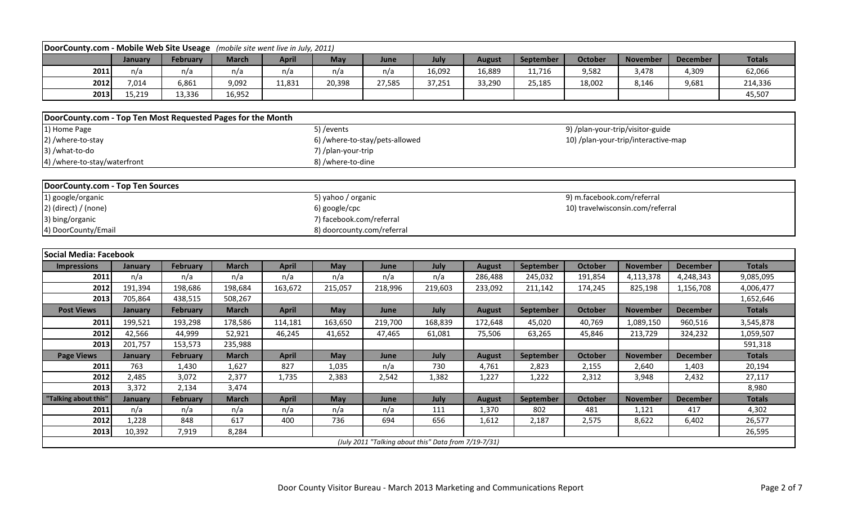| DoorCounty.com - Mobile Web Site Useage                     |                |                 |              | (mobile site went live in July, 2011) |                            |                                                      |         |               |           |                            |                                     |                 |               |
|-------------------------------------------------------------|----------------|-----------------|--------------|---------------------------------------|----------------------------|------------------------------------------------------|---------|---------------|-----------|----------------------------|-------------------------------------|-----------------|---------------|
|                                                             | January        | <b>February</b> | <b>March</b> | <b>April</b>                          | May                        | June                                                 | July    | <b>August</b> | September | <b>October</b>             | <b>November</b>                     | <b>December</b> | <b>Totals</b> |
| 2011                                                        | n/a            | n/a             | n/a          | n/a                                   | n/a                        | n/a                                                  | 16,092  | 16,889        | 11,716    | 9,582                      | 3,478                               | 4,309           | 62,066        |
| 2012                                                        | 7,014          | 6,861           | 9,092        | 11,831                                | 20,398                     | 27,585                                               | 37,251  | 33,290        | 25,185    | 18,002                     | 8,146                               | 9,681           | 214,336       |
| 2013                                                        | 15,219         | 13,336          | 16,952       |                                       |                            |                                                      |         |               |           |                            |                                     |                 | 45,507        |
|                                                             |                |                 |              |                                       |                            |                                                      |         |               |           |                            |                                     |                 |               |
| DoorCounty.com - Top Ten Most Requested Pages for the Month |                |                 |              |                                       |                            |                                                      |         |               |           |                            |                                     |                 |               |
| 1) Home Page                                                |                |                 |              |                                       | 5) / events                |                                                      |         |               |           |                            | 9) /plan-your-trip/visitor-guide    |                 |               |
| 2) /where-to-stay                                           |                |                 |              |                                       |                            | 6) /where-to-stay/pets-allowed                       |         |               |           |                            | 10) /plan-your-trip/interactive-map |                 |               |
| 3) /what-to-do                                              |                |                 |              |                                       | 7) /plan-your-trip         |                                                      |         |               |           |                            |                                     |                 |               |
| 4) /where-to-stay/waterfront                                |                |                 |              |                                       | 8) /where-to-dine          |                                                      |         |               |           |                            |                                     |                 |               |
|                                                             |                |                 |              |                                       |                            |                                                      |         |               |           |                            |                                     |                 |               |
| DoorCounty.com - Top Ten Sources                            |                |                 |              |                                       |                            |                                                      |         |               |           |                            |                                     |                 |               |
| 1) google/organic                                           |                |                 |              |                                       | 5) yahoo / organic         |                                                      |         |               |           | 9) m.facebook.com/referral |                                     |                 |               |
| $2)$ (direct) / (none)                                      |                |                 |              |                                       | 6) google/cpc              |                                                      |         |               |           |                            | 10) travelwisconsin.com/referral    |                 |               |
| 3) bing/organic                                             |                |                 |              |                                       | 7) facebook.com/referral   |                                                      |         |               |           |                            |                                     |                 |               |
| 4) DoorCounty/Email                                         |                |                 |              |                                       | 8) doorcounty.com/referral |                                                      |         |               |           |                            |                                     |                 |               |
|                                                             |                |                 |              |                                       |                            |                                                      |         |               |           |                            |                                     |                 |               |
| Social Media: Facebook                                      |                |                 |              |                                       |                            |                                                      |         |               |           |                            |                                     |                 |               |
| <b>Impressions</b>                                          | January        | <b>February</b> | <b>March</b> | <b>April</b>                          | May                        | June                                                 | July    | <b>August</b> | September | <b>October</b>             | <b>November</b>                     | <b>December</b> | <b>Totals</b> |
| 2011                                                        | n/a            | n/a             | n/a          | n/a                                   | n/a                        | n/a                                                  | n/a     | 286,488       | 245,032   | 191,854                    | 4,113,378                           | 4,248,343       | 9,085,095     |
| 2012                                                        | 191,394        | 198,686         | 198,684      | 163,672                               | 215,057                    | 218,996                                              | 219,603 | 233,092       | 211,142   | 174,245                    | 825,198                             | 1,156,708       | 4,006,477     |
| 2013                                                        | 705,864        | 438,515         | 508,267      |                                       |                            |                                                      |         |               |           |                            |                                     |                 | 1,652,646     |
| <b>Post Views</b>                                           | January        | <b>February</b> | <b>March</b> | <b>April</b>                          | May                        | June                                                 | July    | <b>August</b> | September | <b>October</b>             | <b>November</b>                     | <b>December</b> | <b>Totals</b> |
| 2011                                                        | 199,521        | 193,298         | 178,586      | 114,181                               | 163,650                    | 219,700                                              | 168,839 | 172,648       | 45,020    | 40,769                     | 1,089,150                           | 960,516         | 3,545,878     |
| 2012                                                        | 42,566         | 44,999          | 52,921       | 46,245                                | 41,652                     | 47,465                                               | 61,081  | 75,506        | 63,265    | 45,846                     | 213,729                             | 324,232         | 1,059,507     |
| 2013                                                        | 201,757        | 153,573         | 235,988      |                                       |                            |                                                      |         |               |           |                            |                                     |                 | 591,318       |
| <b>Page Views</b>                                           | January        | <b>February</b> | <b>March</b> | <b>April</b>                          | May                        | June                                                 | July    | <b>August</b> | September | <b>October</b>             | <b>November</b>                     | <b>December</b> | <b>Totals</b> |
| 2011                                                        | 763            | 1,430           | 1,627        | 827                                   | 1,035                      | n/a                                                  | 730     | 4,761         | 2,823     | 2,155                      | 2,640                               | 1,403           | 20,194        |
| 2012                                                        | 2,485          | 3,072           | 2,377        | 1,735                                 | 2,383                      | 2,542                                                | 1,382   | 1,227         | 1,222     | 2,312                      | 3,948                               | 2,432           | 27,117        |
| 2013                                                        | 3,372          | 2,134           | 3,474        |                                       |                            |                                                      |         |               |           |                            |                                     |                 | 8,980         |
| "Talking about this"                                        | <b>January</b> | <b>February</b> | <b>March</b> | <b>April</b>                          | May                        | June                                                 | July    | <b>August</b> | September | <b>October</b>             | <b>November</b>                     | <b>December</b> | <b>Totals</b> |
| 2011                                                        | n/a            | n/a             | n/a          | n/a                                   | n/a                        | n/a                                                  | 111     | 1,370         | 802       | 481                        | 1,121                               | 417             | 4,302         |
| 2012                                                        | 1,228          | 848             | 617          | 400                                   | 736                        | 694                                                  | 656     | 1,612         | 2,187     | 2,575                      | 8,622                               | 6,402           | 26,577        |
| 2013                                                        | 10,392         | 7,919           | 8,284        |                                       |                            |                                                      |         |               |           |                            |                                     |                 | 26,595        |
|                                                             |                |                 |              |                                       |                            | (July 2011 "Talking about this" Data from 7/19-7/31) |         |               |           |                            |                                     |                 |               |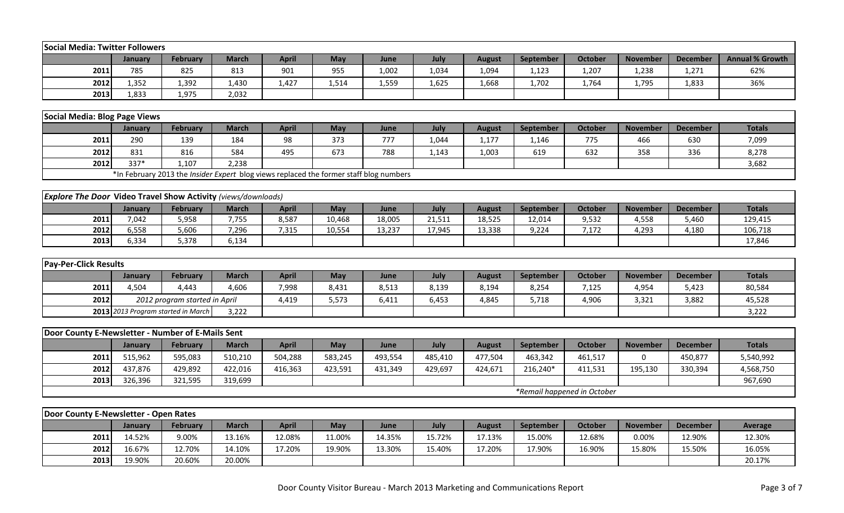| <b>Social Media: Twitter Followers</b>                               |         |                                                                                        |              |              |         |         |         |               |           |                             |                 |                 |                        |
|----------------------------------------------------------------------|---------|----------------------------------------------------------------------------------------|--------------|--------------|---------|---------|---------|---------------|-----------|-----------------------------|-----------------|-----------------|------------------------|
|                                                                      | January | <b>February</b>                                                                        | <b>March</b> | <b>April</b> | May     | June    | July    | <b>August</b> | September | <b>October</b>              | <b>November</b> | <b>December</b> | <b>Annual % Growth</b> |
| 2011                                                                 | 785     | 825                                                                                    | 813          | 901          | 955     | 1,002   | 1,034   | 1,094         | 1,123     | 1,207                       | 1,238           | 1,271           | 62%                    |
| 2012                                                                 | 1,352   | 1,392                                                                                  | 1,430        | 1,427        | 1,514   | 1,559   | 1,625   | 1,668         | 1,702     | 1,764                       | 1,795           | 1,833           | 36%                    |
| 2013                                                                 | 1,833   | 1,975                                                                                  | 2,032        |              |         |         |         |               |           |                             |                 |                 |                        |
|                                                                      |         |                                                                                        |              |              |         |         |         |               |           |                             |                 |                 |                        |
| Social Media: Blog Page Views                                        |         |                                                                                        |              |              |         |         |         |               |           |                             |                 |                 |                        |
|                                                                      | January | February                                                                               | <b>March</b> | <b>April</b> | May     | June    | July    | <b>August</b> | September | <b>October</b>              | <b>November</b> | <b>December</b> | <b>Totals</b>          |
| 2011                                                                 | 290     | 139                                                                                    | 184          | 98           | 373     | 777     | 1,044   | 1,177         | 1,146     | 775                         | 466             | 630             | 7,099                  |
| 2012                                                                 | 831     | 816                                                                                    | 584          | 495          | 673     | 788     | 1,143   | 1,003         | 619       | 632                         | 358             | 336             | 8,278                  |
| 2012                                                                 | 337*    | 1,107                                                                                  | 2,238        |              |         |         |         |               |           |                             |                 |                 | 3,682                  |
|                                                                      |         | *In February 2013 the Insider Expert blog views replaced the former staff blog numbers |              |              |         |         |         |               |           |                             |                 |                 |                        |
|                                                                      |         |                                                                                        |              |              |         |         |         |               |           |                             |                 |                 |                        |
| <b>Explore The Door Video Travel Show Activity (views/downloads)</b> |         |                                                                                        |              |              |         |         |         |               |           |                             |                 |                 |                        |
|                                                                      | January | <b>February</b>                                                                        | <b>March</b> | <b>April</b> | May     | June    | July    | <b>August</b> | September | <b>October</b>              | <b>November</b> | <b>December</b> | <b>Totals</b>          |
| 2011                                                                 | 7,042   | 5,958                                                                                  | 7,755        | 8,587        | 10,468  | 18,005  | 21,511  | 18,525        | 12,014    | 9,532                       | 4,558           | 5,460           | 129,415                |
| 2012                                                                 | 6,558   | 5,606                                                                                  | 7,296        | 7,315        | 10,554  | 13,237  | 17,945  | 13,338        | 9,224     | 7,172                       | 4,293           | 4,180           | 106,718                |
| 2013                                                                 | 6,334   | 5,378                                                                                  | 6,134        |              |         |         |         |               |           |                             |                 |                 | 17,846                 |
|                                                                      |         |                                                                                        |              |              |         |         |         |               |           |                             |                 |                 |                        |
| <b>Pay-Per-Click Results</b>                                         |         |                                                                                        |              |              |         |         |         |               |           |                             |                 |                 |                        |
|                                                                      | January | February                                                                               | <b>March</b> | <b>April</b> | May     | June    | July    | <b>August</b> | September | <b>October</b>              | <b>November</b> | <b>December</b> | <b>Totals</b>          |
| 2011                                                                 | 4,504   | 4,443                                                                                  | 4,606        | 7,998        | 8,431   | 8,513   | 8,139   | 8,194         | 8,254     | 7,125                       | 4,954           | 5,423           | 80,584                 |
| 2012                                                                 |         | 2012 program started in April                                                          |              | 4,419        | 5,573   | 6,411   | 6,453   | 4,845         | 5,718     | 4,906                       | 3,321           | 3,882           | 45,528                 |
|                                                                      |         | 2013 2013 Program started in March                                                     | 3,222        |              |         |         |         |               |           |                             |                 |                 | 3,222                  |
|                                                                      |         |                                                                                        |              |              |         |         |         |               |           |                             |                 |                 |                        |
| Door County E-Newsletter - Number of E-Mails Sent                    |         |                                                                                        |              |              |         |         |         |               |           |                             |                 |                 |                        |
|                                                                      | January | <b>February</b>                                                                        | <b>March</b> | <b>April</b> | May     | June    | July    | <b>August</b> | September | <b>October</b>              | <b>November</b> | <b>December</b> | <b>Totals</b>          |
| 2011                                                                 | 515,962 | 595,083                                                                                | 510,210      | 504,288      | 583,245 | 493,554 | 485,410 | 477,504       | 463,342   | 461,517                     | $\Omega$        | 450,877         | 5,540,992              |
| 2012                                                                 | 437,876 | 429,892                                                                                | 422,016      | 416,363      | 423,591 | 431,349 | 429,697 | 424,671       | 216,240*  | 411,531                     | 195,130         | 330,394         | 4,568,750              |
| 2013                                                                 | 326,396 | 321,595                                                                                | 319,699      |              |         |         |         |               |           |                             |                 |                 | 967,690                |
|                                                                      |         |                                                                                        |              |              |         |         |         |               |           | *Remail happened in October |                 |                 |                        |
|                                                                      |         |                                                                                        |              |              |         |         |         |               |           |                             |                 |                 |                        |
| Door County E-Newsletter - Open Rates                                |         |                                                                                        |              |              |         |         |         |               |           |                             |                 |                 |                        |
|                                                                      | January | February                                                                               | <b>March</b> | <b>April</b> | May     | June    | July    | <b>August</b> | September | <b>October</b>              | <b>November</b> | <b>December</b> | Average                |
| 2011                                                                 | 14.52%  | 9.00%                                                                                  | 13.16%       | 12.08%       | 11.00%  | 14.35%  | 15.72%  | 17.13%        | 15.00%    | 12.68%                      | 0.00%           | 12.90%          | 12.30%                 |
| 2012                                                                 | 16.67%  | 12.70%                                                                                 | 14.10%       | 17.20%       | 19.90%  | 13.30%  | 15.40%  | 17.20%        | 17.90%    | 16.90%                      | 15.80%          | 15.50%          | 16.05%                 |
| 2013                                                                 | 19.90%  | 20.60%                                                                                 | 20.00%       |              |         |         |         |               |           |                             |                 |                 | 20.17%                 |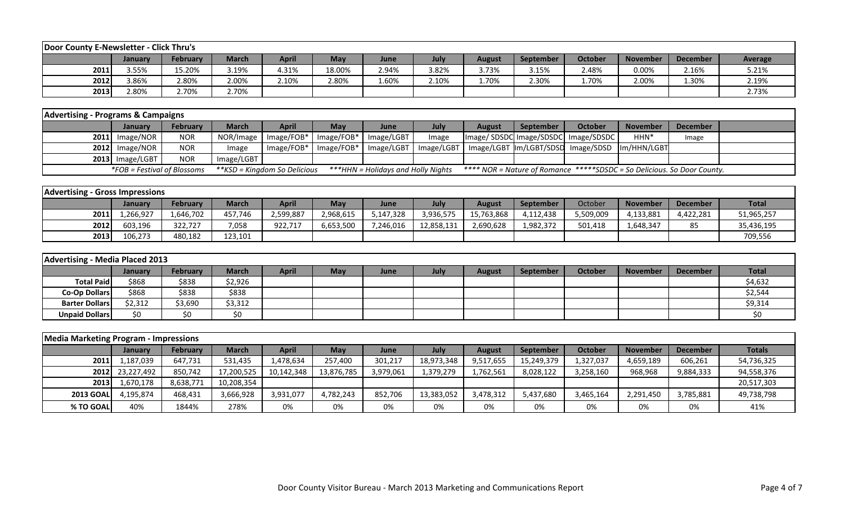| Door County E-Newsletter - Click Thru's |         |                 |              |       |            |       |       |               |                  |                |                 |                 |         |
|-----------------------------------------|---------|-----------------|--------------|-------|------------|-------|-------|---------------|------------------|----------------|-----------------|-----------------|---------|
|                                         | Januarv | <b>February</b> | <b>March</b> | April | <b>May</b> | June  | July  | <b>August</b> | <b>September</b> | <b>October</b> | <b>November</b> | <b>December</b> | Average |
| 2011                                    | 3.55%   | 15.20%          | 3.19%        | 4.31% | 18.00%     | 2.94% | 3.82% | 3.73%         | 3.15%            | 2.48%          | 0.00%           | 2.16%           | 5.21%   |
| 2012                                    | 3.86%   | 2.80%           | 2.00%        | 2.10% | 2.80%      | 1.60% | 2.10% | 1.70%         | 2.30%            | 1.70%          | 2.00%           | 1.30%           | 2.19%   |
| 2013                                    | 2.80%   | 2.70%           | 2.70%        |       |            |       |       |               |                  |                |                 |                 | 2.73%   |

| <b>Advertising - Programs &amp; Campaigns</b> |                             |                 |              |                                     |              |                                    |       |               |                  |                                                                                |                 |          |  |
|-----------------------------------------------|-----------------------------|-----------------|--------------|-------------------------------------|--------------|------------------------------------|-------|---------------|------------------|--------------------------------------------------------------------------------|-----------------|----------|--|
|                                               | <b>January</b>              | <b>February</b> | <b>March</b> | April                               | Mav          | June                               | July  | <b>August</b> | <b>September</b> | October                                                                        | <b>November</b> | December |  |
|                                               | $2011$ Image/NOR            | <b>NOR</b>      |              | NOR/Image   Image/FOB*   Image/FOB* |              | Image/LGBT                         | Image |               |                  | Image/SDSDC Image/SDSDC Image/SDSDC                                            | HHN*            | Image    |  |
|                                               | $2012$ Image/NOR            | <b>NOR</b>      | Image        | $Image/FOB*$                        | $Image/FOB*$ |                                    |       |               |                  | Image/LGBT   Image/LGBT   Image/LGBT   Im/LGBT/SDSD   Image/SDSD   Im/HHN/LGBT |                 |          |  |
|                                               | $2013$ Image/LGBT           | <b>NOR</b>      | Image/LGBT   |                                     |              |                                    |       |               |                  |                                                                                |                 |          |  |
|                                               | *FOB = Festival of Blossoms |                 |              | **KSD = Kingdom So Delicious        |              | ***HHN = Holidays and Holly Nights |       |               |                  | **** NOR = Nature of Romance *****SDSDC = So Delicious. So Door County.        |                 |          |  |

| <b>Advertising - Gross Impressions</b> |                |           |              |              |           |           |            |               |                  |           |                 |                 |              |
|----------------------------------------|----------------|-----------|--------------|--------------|-----------|-----------|------------|---------------|------------------|-----------|-----------------|-----------------|--------------|
|                                        | <b>January</b> | February  | <b>March</b> | <b>April</b> | May       | June      | July       | <b>August</b> | <b>September</b> | October   | <b>November</b> | <b>December</b> | <b>Total</b> |
| 2011                                   | .,266,927      | 1,646,702 | 457,746      | 2,599,887    | 2,968,615 | 5,147,328 | 3,936,575  | 15,763,868    | 4,112,438        | 5,509,009 | 4,133,881       | 4,422,281       | 51,965,257   |
| 2012                                   | 603,196        | 322,727   | 7,058        | 922,717      | 6,653,500 | 7,246,016 | 12,858,131 | 2,690,628     | 1,982,372        | 501,418   | 1,648,347       | $\sim$ $\sim$   | 35,436,195   |
| 2013                                   | 106,273        | 480,182   | 123,101      |              |           |           |            |               |                  |           |                 |                 | 709,556      |

| Advertising - Media Placed 2013 |         |          |              |              |            |      |      |               |                  |         |                 |                 |              |
|---------------------------------|---------|----------|--------------|--------------|------------|------|------|---------------|------------------|---------|-----------------|-----------------|--------------|
|                                 | January | February | <b>March</b> | <b>April</b> | <b>May</b> | June | July | <b>August</b> | <b>September</b> | October | <b>November</b> | <b>December</b> | <b>Total</b> |
| <b>Total Paid</b>               | \$868   | \$838    | \$2,926      |              |            |      |      |               |                  |         |                 |                 | \$4,632      |
| Co-Op Dollars                   | \$868   | \$838    | \$838        |              |            |      |      |               |                  |         |                 |                 | \$2,544      |
| <b>Barter Dollars</b>           | \$2,312 | \$3,690  | \$3,312      |              |            |      |      |               |                  |         |                 |                 | \$9,314      |
| <b>Unpaid Dollars</b>           | \$0     | \$0      |              |              |            |      |      |               |                  |         |                 |                 | \$0          |

| <b>Media Marketing Program - Impressions</b> |                 |           |              |              |            |           |            |               |            |           |                 |                 |               |
|----------------------------------------------|-----------------|-----------|--------------|--------------|------------|-----------|------------|---------------|------------|-----------|-----------------|-----------------|---------------|
|                                              | <b>January</b>  | February  | <b>March</b> | <b>April</b> | May        | June      | July       | <b>August</b> | September  | October   | <b>November</b> | <b>December</b> | <b>Totals</b> |
| 2011                                         | 1,187,039       | 647,731   | 531,435      | 1,478,634    | 257,400    | 301,217   | 18,973,348 | 9,517,655     | 15,249,379 | 1,327,037 | 4,659,189       | 606,261         | 54,736,325    |
|                                              | 2012 23,227,492 | 850,742   | 17,200,525   | 10,142,348   | 13,876,785 | 3,979,061 | 1,379,279  | 1,762,561     | 8,028,122  | 3,258,160 | 968,968         | 9,884,333       | 94,558,376    |
| 2013                                         | 1,670,178       | 8,638,771 | 10,208,354   |              |            |           |            |               |            |           |                 |                 | 20,517,303    |
| <b>2013 GOAL</b>                             | 4.195.874       | 468,431   | 3,666,928    | 3,931,077    | 4,782,243  | 852.706   | 13,383,052 | 3,478,312     | 5,437,680  | 3,465,164 | 2,291,450       | 3,785,881       | 49,738,798    |
| % TO GOAL                                    | 40%             | 1844%     | 278%         | 0%           | 0%         | 0%        | 0%         | 0%            | 0%         | 0%        | 0%              | 0%              | 41%           |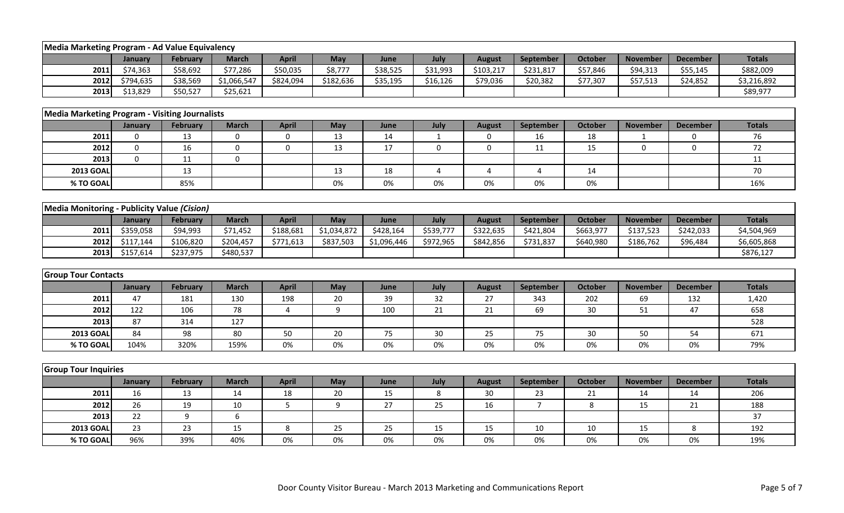| <b>Media Marketing Program - Ad Value Equivalency</b> |             |                 |                  |              |             |             |                         |                  |                  |                |                         |                 |               |
|-------------------------------------------------------|-------------|-----------------|------------------|--------------|-------------|-------------|-------------------------|------------------|------------------|----------------|-------------------------|-----------------|---------------|
|                                                       | January     | <b>February</b> | <b>March</b>     | <b>April</b> | May         | June        | July                    | <b>August</b>    | September        | <b>October</b> | <b>November</b>         | <b>December</b> | <b>Totals</b> |
| 2011                                                  | \$74,363    | \$58,692        | \$77,286         | \$50,035     | \$8,777     | \$38,525    | \$31,993                | \$103,217        | \$231,817        | \$57,846       | \$94,313                | \$55,145        | \$882,009     |
| 2012                                                  | \$794,635   | \$38,569        | \$1,066,547      | \$824,094    | \$182,636   | \$35,195    | \$16,126                | \$79,036         | \$20,382         | \$77,307       | \$57,513                | \$24,852        | \$3,216,892   |
| 2013                                                  | \$13,829    | \$50,527        | \$25,621         |              |             |             |                         |                  |                  |                |                         |                 | \$89,977      |
|                                                       |             |                 |                  |              |             |             |                         |                  |                  |                |                         |                 |               |
| <b>Media Marketing Program - Visiting Journalists</b> |             |                 |                  |              |             |             |                         |                  |                  |                |                         |                 |               |
|                                                       | January     | February        | <b>March</b>     | <b>April</b> | May         | June        | July                    | <b>August</b>    | September        | <b>October</b> | <b>November</b>         | <b>December</b> | <b>Totals</b> |
| 2011                                                  | $\mathbf 0$ | 13              | $\mathbf 0$      | 0            | 13          | 14          | $\mathbf{1}$            | 0                | 16               | 18             | $\overline{\mathbf{1}}$ | 0               | 76            |
| 2012                                                  | $\mathbf 0$ | 16              | $\mathbf 0$      | $\pmb{0}$    | 13          | 17          | $\mathbf 0$             | $\boldsymbol{0}$ | 11               | 15             | 0                       | $\mathbf 0$     | 72            |
| 2013                                                  | $\mathbf 0$ | 11              | $\mathbf 0$      |              |             |             |                         |                  |                  |                |                         |                 | 11            |
| <b>2013 GOAL</b>                                      |             | 13              |                  |              | 13          | 18          | $\overline{\mathbf{4}}$ | $\overline{4}$   | $\overline{4}$   | 14             |                         |                 | 70            |
| % TO GOAL                                             |             | 85%             |                  |              | 0%          | 0%          | 0%                      | 0%               | 0%               | 0%             |                         |                 | 16%           |
|                                                       |             |                 |                  |              |             |             |                         |                  |                  |                |                         |                 |               |
| Media Monitoring - Publicity Value (Cision)           |             |                 |                  |              |             |             |                         |                  |                  |                |                         |                 |               |
|                                                       | January     | February        | <b>March</b>     | <b>April</b> | May         | June        | July                    | <b>August</b>    | September        | October        | <b>November</b>         | <b>December</b> | <b>Totals</b> |
| 2011                                                  | \$359,058   | \$94,993        | \$71,452         | \$188,681    | \$1,034,872 | \$428,164   | \$539,777               | \$322,635        | \$421,804        | \$663,977      | \$137,523               | \$242,033       | \$4,504,969   |
| 2012                                                  | \$117,144   | \$106,820       | \$204,457        | \$771,613    | \$837,503   | \$1,096,446 | \$972,965               | \$842,856        | \$731,837        | \$640,980      | \$186,762               | \$96,484        | \$6,605,868   |
| 2013                                                  | \$157,614   | \$237,975       | \$480,537        |              |             |             |                         |                  |                  |                |                         |                 | \$876,127     |
|                                                       |             |                 |                  |              |             |             |                         |                  |                  |                |                         |                 |               |
| <b>Group Tour Contacts</b>                            |             |                 |                  |              |             |             |                         |                  |                  |                |                         |                 |               |
|                                                       | January     | February        | <b>March</b>     | <b>April</b> | May         | June        | July                    | <b>August</b>    | <b>September</b> | <b>October</b> | <b>November</b>         | <b>December</b> | <b>Totals</b> |
| 2011                                                  | 47          | 181             | 130              | 198          | 20          | 39          | 32                      | 27               | 343              | 202            | 69                      | 132             | 1,420         |
| 2012                                                  | 122         | 106             | 78               | 4            | 9           | 100         | 21                      | 21               | 69               | $30\,$         | 51                      | 47              | 658           |
| 2013                                                  | 87          | 314             | 127              |              |             |             |                         |                  |                  |                |                         |                 | 528           |
| <b>2013 GOAL</b>                                      | 84          | 98              | 80               | 50           | 20          | 75          | 30                      | 25               | 75               | 30             | 50                      | 54              | 671           |
| % TO GOAL                                             | 104%        | 320%            | 159%             | 0%           | 0%          | 0%          | 0%                      | 0%               | 0%               | 0%             | 0%                      | 0%              | 79%           |
|                                                       |             |                 |                  |              |             |             |                         |                  |                  |                |                         |                 |               |
| <b>Group Tour Inquiries</b>                           |             |                 |                  |              |             |             |                         |                  |                  |                |                         |                 |               |
|                                                       | January     | <b>February</b> | <b>March</b>     | <b>April</b> | May         | June        | July                    | <b>August</b>    | September        | <b>October</b> | <b>November</b>         | <b>December</b> | <b>Totals</b> |
| 2011                                                  | 16          | 13              | 14               | 18           | 20          | 15          | 8                       | 30               | 23               | 21             | 14                      | 14              | 206           |
| 2012                                                  | 26          | 19              | 10               | 5            | 9           | 27          | 25                      | 16               | $\overline{7}$   | 8              | 15                      | 21              | 188           |
| 2013                                                  | 22          | 9               | $\boldsymbol{6}$ |              |             |             |                         |                  |                  |                |                         |                 | 37            |
| <b>2013 GOAL</b>                                      | 23          | 23              | 15               | 8            | 25          | 25          | 15                      | 15               | 10               | 10             | 15                      | 8               | 192           |
| % TO GOAL                                             | 96%         | 39%             | 40%              | 0%           | 0%          | 0%          | 0%                      | 0%               | 0%               | 0%             | 0%                      | 0%              | 19%           |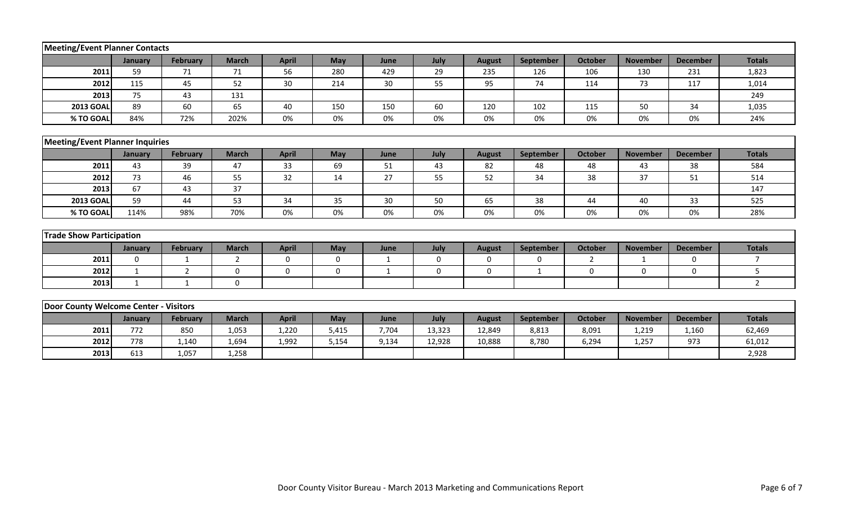| Meeting/Event Planner Contacts         |              |                 |              |              |              |              |             |               |              |                |                 |                 |                |
|----------------------------------------|--------------|-----------------|--------------|--------------|--------------|--------------|-------------|---------------|--------------|----------------|-----------------|-----------------|----------------|
|                                        | January      | <b>February</b> | <b>March</b> | <b>April</b> | May          | June         | July        | <b>August</b> | September    | <b>October</b> | <b>November</b> | <b>December</b> | <b>Totals</b>  |
| 2011                                   | 59           | 71              | 71           | 56           | 280          | 429          | 29          | 235           | 126          | 106            | 130             | 231             | 1,823          |
| 2012                                   | 115          | 45              | 52           | 30           | 214          | 30           | 55          | 95            | 74           | 114            | 73              | 117             | 1,014          |
| 2013                                   | 75           | 43              | 131          |              |              |              |             |               |              |                |                 |                 | 249            |
| <b>2013 GOAL</b>                       | 89           | 60              | 65           | 40           | 150          | 150          | 60          | 120           | 102          | 115            | 50              | 34              | 1,035          |
| % TO GOAL                              | 84%          | 72%             | 202%         | 0%           | 0%           | 0%           | 0%          | 0%            | 0%           | 0%             | 0%              | 0%              | 24%            |
|                                        |              |                 |              |              |              |              |             |               |              |                |                 |                 |                |
| <b>Meeting/Event Planner Inquiries</b> |              |                 |              |              |              |              |             |               |              |                |                 |                 |                |
|                                        | January      | February        | <b>March</b> | <b>April</b> | May          | June         | July        | <b>August</b> | September    | <b>October</b> | <b>November</b> | <b>December</b> | <b>Totals</b>  |
| 2011                                   | 43           | 39              | 47           | 33           | 69           | 51           | 43          | 82            | 48           | 48             | 43              | 38              | 584            |
| 2012                                   | 73           | 46              | 55           | 32           | 14           | 27           | 55          | 52            | 34           | 38             | 37              | 51              | 514            |
| 2013                                   | 67           | 43              | 37           |              |              |              |             |               |              |                |                 |                 | 147            |
| <b>2013 GOAL</b>                       | 59           | 44              | 53           | 34           | 35           | 30           | 50          | 65            | 38           | 44             | 40              | 33              | 525            |
| % TO GOAL                              | 114%         | 98%             | 70%          | 0%           | 0%           | 0%           | 0%          | 0%            | 0%           | 0%             | 0%              | 0%              | 28%            |
|                                        |              |                 |              |              |              |              |             |               |              |                |                 |                 |                |
| <b>Trade Show Participation</b>        |              |                 |              |              |              |              |             |               |              |                |                 |                 |                |
|                                        | January      | February        | <b>March</b> | <b>April</b> | May          | June         | July        | <b>August</b> | September    | <b>October</b> | <b>November</b> | <b>December</b> | <b>Totals</b>  |
| 2011                                   | $\mathbf 0$  | $\mathbf{1}$    | 2            | $\mathbf 0$  | $\mathbf 0$  | $\mathbf{1}$ | $\mathbf 0$ | $\mathbf 0$   | $\mathbf 0$  | $\overline{2}$ | $\mathbf{1}$    | $\mathbf 0$     | $\overline{7}$ |
| 2012                                   | $\mathbf{1}$ | 2               | $\Omega$     | $\mathbf 0$  | $\mathbf{0}$ | $\mathbf{1}$ | 0           | $\mathbf 0$   | $\mathbf{1}$ | 0              | $\Omega$        | $\Omega$        | 5              |
| 2013                                   | 1            | $\mathbf{1}$    | $\mathbf 0$  |              |              |              |             |               |              |                |                 |                 | $\overline{2}$ |
|                                        |              |                 |              |              |              |              |             |               |              |                |                 |                 |                |
| Door County Welcome Center - Visitors  |              |                 |              |              |              |              |             |               |              |                |                 |                 |                |
|                                        | January      | <b>February</b> | <b>March</b> | <b>April</b> | May          | June         | July        | <b>August</b> | September    | <b>October</b> | <b>November</b> | <b>December</b> | <b>Totals</b>  |
| 2011                                   | 772          | 850             | 1,053        | 1,220        | 5,415        | 7,704        | 13,323      | 12,849        | 8,813        | 8,091          | 1,219           | 1,160           | 62,469         |
| 2012                                   | 778          | 1,140           | 1,694        | 1,992        | 5,154        | 9,134        | 12,928      | 10,888        | 8,780        | 6,294          | 1,257           | 973             | 61,012         |
| 2013                                   | 613          | 1,057           | 1,258        |              |              |              |             |               |              |                |                 |                 | 2,928          |